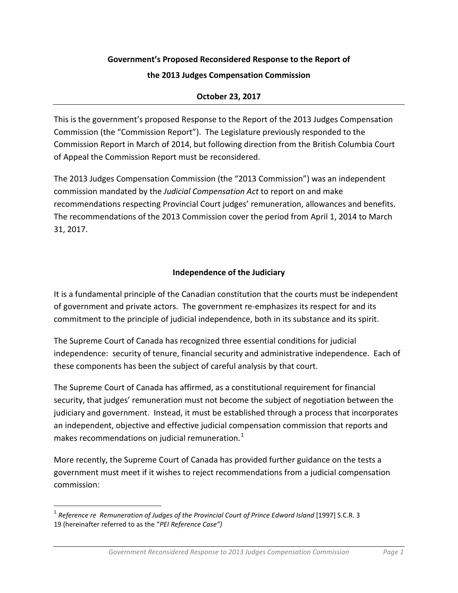# **Government's Proposed Reconsidered Response to the Report of**

#### **the 2013 Judges Compensation Commission**

### **October 23, 2017**

This is the government's proposed Response to the Report of the 2013 Judges Compensation Commission (the "Commission Report"). The Legislature previously responded to the Commission Report in March of 2014, but following direction from the British Columbia Court of Appeal the Commission Report must be reconsidered.

The 2013 Judges Compensation Commission (the "2013 Commission") was an independent commission mandated by the *Judicial Compensation Act* to report on and make recommendations respecting Provincial Court judges' remuneration, allowances and benefits. The recommendations of the 2013 Commission cover the period from April 1, 2014 to March 31, 2017.

### **Independence of the Judiciary**

It is a fundamental principle of the Canadian constitution that the courts must be independent of government and private actors. The government re-emphasizes its respect for and its commitment to the principle of judicial independence, both in its substance and its spirit.

The Supreme Court of Canada has recognized three essential conditions for judicial independence: security of tenure, financial security and administrative independence. Each of these components has been the subject of careful analysis by that court.

The Supreme Court of Canada has affirmed, as a constitutional requirement for financial security, that judges' remuneration must not become the subject of negotiation between the judiciary and government. Instead, it must be established through a process that incorporates an independent, objective and effective judicial compensation commission that reports and makes recommendations on judicial remuneration. $1$ 

More recently, the Supreme Court of Canada has provided further guidance on the tests a government must meet if it wishes to reject recommendations from a judicial compensation commission:

<span id="page-0-0"></span> <sup>1</sup> *Reference re Remuneration of Judges of the Provincial Court of Prince Edward Island* [1997] S.C.R. 3 19 (hereinafter referred to as the "*PEI Reference Case")*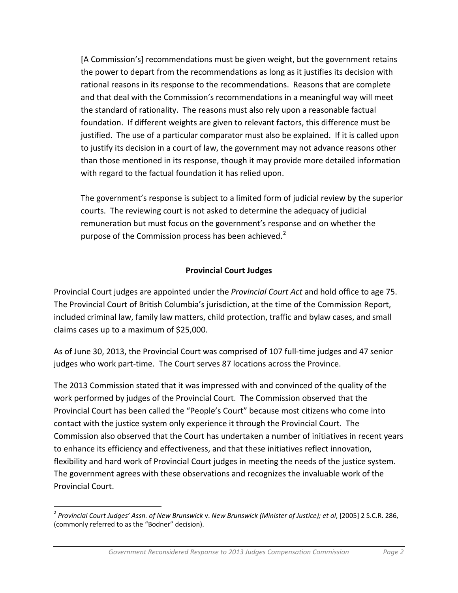[A Commission's] recommendations must be given weight, but the government retains the power to depart from the recommendations as long as it justifies its decision with rational reasons in its response to the recommendations. Reasons that are complete and that deal with the Commission's recommendations in a meaningful way will meet the standard of rationality. The reasons must also rely upon a reasonable factual foundation. If different weights are given to relevant factors, this difference must be justified. The use of a particular comparator must also be explained. If it is called upon to justify its decision in a court of law, the government may not advance reasons other than those mentioned in its response, though it may provide more detailed information with regard to the factual foundation it has relied upon.

The government's response is subject to a limited form of judicial review by the superior courts. The reviewing court is not asked to determine the adequacy of judicial remuneration but must focus on the government's response and on whether the purpose of the Commission process has been achieved. $2^2$  $2^2$ 

### **Provincial Court Judges**

Provincial Court judges are appointed under the *Provincial Court Act* and hold office to age 75. The Provincial Court of British Columbia's jurisdiction, at the time of the Commission Report, included criminal law, family law matters, child protection, traffic and bylaw cases, and small claims cases up to a maximum of \$25,000.

As of June 30, 2013, the Provincial Court was comprised of 107 full-time judges and 47 senior judges who work part-time. The Court serves 87 locations across the Province.

The 2013 Commission stated that it was impressed with and convinced of the quality of the work performed by judges of the Provincial Court. The Commission observed that the Provincial Court has been called the "People's Court" because most citizens who come into contact with the justice system only experience it through the Provincial Court. The Commission also observed that the Court has undertaken a number of initiatives in recent years to enhance its efficiency and effectiveness, and that these initiatives reflect innovation, flexibility and hard work of Provincial Court judges in meeting the needs of the justice system. The government agrees with these observations and recognizes the invaluable work of the Provincial Court.

<span id="page-1-0"></span> <sup>2</sup> *Provincial Court Judges' Assn. of New Brunswick* v. *New Brunswick (Minister of Justice); et al*, [2005] 2 S.C.R. 286, (commonly referred to as the "Bodner" decision).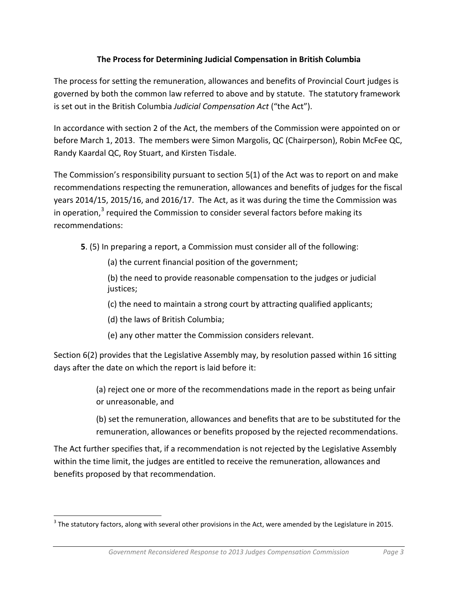### **The Process for Determining Judicial Compensation in British Columbia**

The process for setting the remuneration, allowances and benefits of Provincial Court judges is governed by both the common law referred to above and by statute. The statutory framework is set out in the British Columbia *Judicial Compensation Act* ("the Act").

In accordance with section 2 of the Act, the members of the Commission were appointed on or before March 1, 2013. The members were Simon Margolis, QC (Chairperson), Robin McFee QC, Randy Kaardal QC, Roy Stuart, and Kirsten Tisdale.

The Commission's responsibility pursuant to section 5(1) of the Act was to report on and make recommendations respecting the remuneration, allowances and benefits of judges for the fiscal years 2014/15, 2015/16, and 2016/17. The Act, as it was during the time the Commission was in operation, $3$  required the Commission to consider several factors before making its recommendations:

**5**. (5) In preparing a report, a Commission must consider all of the following:

(a) the current financial position of the government;

(b) the need to provide reasonable compensation to the judges or judicial justices;

(c) the need to maintain a strong court by attracting qualified applicants;

(d) the laws of British Columbia;

(e) any other matter the Commission considers relevant.

Section 6(2) provides that the Legislative Assembly may, by resolution passed within 16 sitting days after the date on which the report is laid before it:

> (a) reject one or more of the recommendations made in the report as being unfair or unreasonable, and

(b) set the remuneration, allowances and benefits that are to be substituted for the remuneration, allowances or benefits proposed by the rejected recommendations.

The Act further specifies that, if a recommendation is not rejected by the Legislative Assembly within the time limit, the judges are entitled to receive the remuneration, allowances and benefits proposed by that recommendation.

<span id="page-2-0"></span> $3$  The statutory factors, along with several other provisions in the Act, were amended by the Legislature in 2015.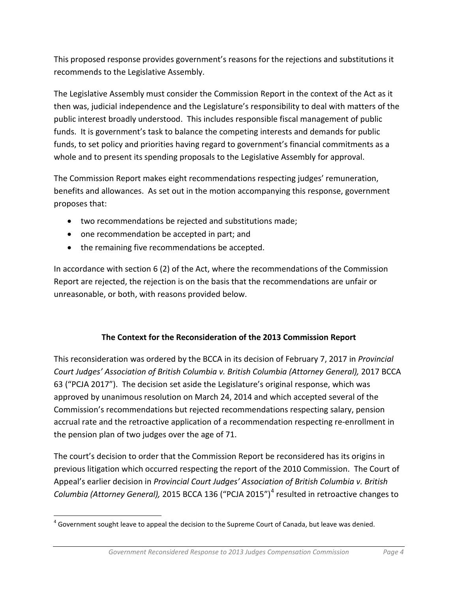This proposed response provides government's reasons for the rejections and substitutions it recommends to the Legislative Assembly.

The Legislative Assembly must consider the Commission Report in the context of the Act as it then was, judicial independence and the Legislature's responsibility to deal with matters of the public interest broadly understood. This includes responsible fiscal management of public funds. It is government's task to balance the competing interests and demands for public funds, to set policy and priorities having regard to government's financial commitments as a whole and to present its spending proposals to the Legislative Assembly for approval.

The Commission Report makes eight recommendations respecting judges' remuneration, benefits and allowances. As set out in the motion accompanying this response, government proposes that:

- two recommendations be rejected and substitutions made;
- one recommendation be accepted in part; and
- the remaining five recommendations be accepted.

In accordance with section 6 (2) of the Act, where the recommendations of the Commission Report are rejected, the rejection is on the basis that the recommendations are unfair or unreasonable, or both, with reasons provided below.

## **The Context for the Reconsideration of the 2013 Commission Report**

This reconsideration was ordered by the BCCA in its decision of February 7, 2017 in *Provincial Court Judges' Association of British Columbia v. British Columbia (Attorney General),* 2017 BCCA 63 ("PCJA 2017"). The decision set aside the Legislature's original response, which was approved by unanimous resolution on March 24, 2014 and which accepted several of the Commission's recommendations but rejected recommendations respecting salary, pension accrual rate and the retroactive application of a recommendation respecting re-enrollment in the pension plan of two judges over the age of 71.

The court's decision to order that the Commission Report be reconsidered has its origins in previous litigation which occurred respecting the report of the 2010 Commission. The Court of Appeal's earlier decision in *Provincial Court Judges' Association of British Columbia v. British Columbia (Attorney General),* 2015 BCCA 136 ("PCJA 2015")<sup>[4](#page-3-0)</sup> resulted in retroactive changes to

<span id="page-3-0"></span> $4$  Government sought leave to appeal the decision to the Supreme Court of Canada, but leave was denied.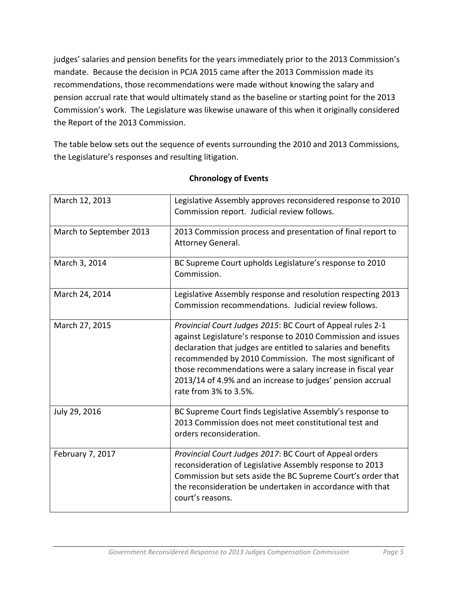judges' salaries and pension benefits for the years immediately prior to the 2013 Commission's mandate. Because the decision in PCJA 2015 came after the 2013 Commission made its recommendations, those recommendations were made without knowing the salary and pension accrual rate that would ultimately stand as the baseline or starting point for the 2013 Commission's work. The Legislature was likewise unaware of this when it originally considered the Report of the 2013 Commission.

The table below sets out the sequence of events surrounding the 2010 and 2013 Commissions, the Legislature's responses and resulting litigation.

| March 12, 2013          | Legislative Assembly approves reconsidered response to 2010<br>Commission report. Judicial review follows.                                                                                                                                                                                                                                                                                                   |
|-------------------------|--------------------------------------------------------------------------------------------------------------------------------------------------------------------------------------------------------------------------------------------------------------------------------------------------------------------------------------------------------------------------------------------------------------|
| March to September 2013 | 2013 Commission process and presentation of final report to<br>Attorney General.                                                                                                                                                                                                                                                                                                                             |
| March 3, 2014           | BC Supreme Court upholds Legislature's response to 2010<br>Commission.                                                                                                                                                                                                                                                                                                                                       |
| March 24, 2014          | Legislative Assembly response and resolution respecting 2013<br>Commission recommendations. Judicial review follows.                                                                                                                                                                                                                                                                                         |
| March 27, 2015          | Provincial Court Judges 2015: BC Court of Appeal rules 2-1<br>against Legislature's response to 2010 Commission and issues<br>declaration that judges are entitled to salaries and benefits<br>recommended by 2010 Commission. The most significant of<br>those recommendations were a salary increase in fiscal year<br>2013/14 of 4.9% and an increase to judges' pension accrual<br>rate from 3% to 3.5%. |
| July 29, 2016           | BC Supreme Court finds Legislative Assembly's response to<br>2013 Commission does not meet constitutional test and<br>orders reconsideration.                                                                                                                                                                                                                                                                |
| February 7, 2017        | Provincial Court Judges 2017: BC Court of Appeal orders<br>reconsideration of Legislative Assembly response to 2013<br>Commission but sets aside the BC Supreme Court's order that<br>the reconsideration be undertaken in accordance with that<br>court's reasons.                                                                                                                                          |

### **Chronology of Events**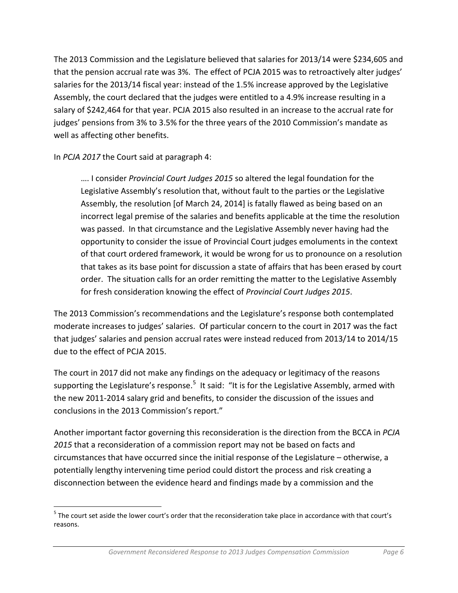The 2013 Commission and the Legislature believed that salaries for 2013/14 were \$234,605 and that the pension accrual rate was 3%. The effect of PCJA 2015 was to retroactively alter judges' salaries for the 2013/14 fiscal year: instead of the 1.5% increase approved by the Legislative Assembly, the court declared that the judges were entitled to a 4.9% increase resulting in a salary of \$242,464 for that year. PCJA 2015 also resulted in an increase to the accrual rate for judges' pensions from 3% to 3.5% for the three years of the 2010 Commission's mandate as well as affecting other benefits.

In *PCJA 2017* the Court said at paragraph 4:

…. I consider *Provincial Court Judges 2015* so altered the legal foundation for the Legislative Assembly's resolution that, without fault to the parties or the Legislative Assembly, the resolution [of March 24, 2014] is fatally flawed as being based on an incorrect legal premise of the salaries and benefits applicable at the time the resolution was passed. In that circumstance and the Legislative Assembly never having had the opportunity to consider the issue of Provincial Court judges emoluments in the context of that court ordered framework, it would be wrong for us to pronounce on a resolution that takes as its base point for discussion a state of affairs that has been erased by court order. The situation calls for an order remitting the matter to the Legislative Assembly for fresh consideration knowing the effect of *Provincial Court Judges 2015*.

The 2013 Commission's recommendations and the Legislature's response both contemplated moderate increases to judges' salaries. Of particular concern to the court in 2017 was the fact that judges' salaries and pension accrual rates were instead reduced from 2013/14 to 2014/15 due to the effect of PCJA 2015.

The court in 2017 did not make any findings on the adequacy or legitimacy of the reasons supporting the Legislature's response.<sup>[5](#page-5-0)</sup> It said: "It is for the Legislative Assembly, armed with the new 2011-2014 salary grid and benefits, to consider the discussion of the issues and conclusions in the 2013 Commission's report."

Another important factor governing this reconsideration is the direction from the BCCA in *PCJA 2015* that a reconsideration of a commission report may not be based on facts and circumstances that have occurred since the initial response of the Legislature – otherwise, a potentially lengthy intervening time period could distort the process and risk creating a disconnection between the evidence heard and findings made by a commission and the

<span id="page-5-0"></span><sup>&</sup>lt;sup>5</sup> The court set aside the lower court's order that the reconsideration take place in accordance with that court's reasons.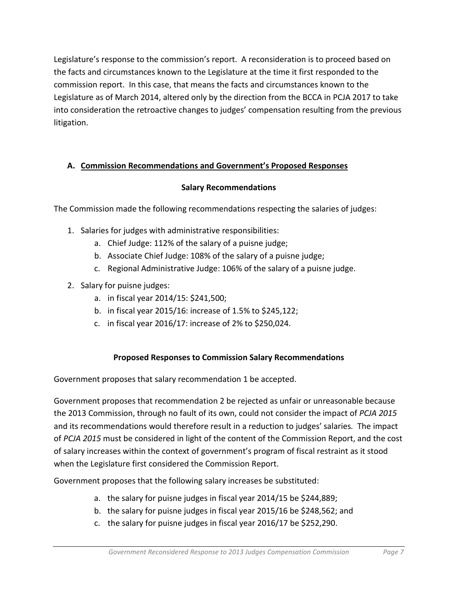Legislature's response to the commission's report. A reconsideration is to proceed based on the facts and circumstances known to the Legislature at the time it first responded to the commission report. In this case, that means the facts and circumstances known to the Legislature as of March 2014, altered only by the direction from the BCCA in PCJA 2017 to take into consideration the retroactive changes to judges' compensation resulting from the previous litigation.

## **A. Commission Recommendations and Government's Proposed Responses**

## **Salary Recommendations**

The Commission made the following recommendations respecting the salaries of judges:

- 1. Salaries for judges with administrative responsibilities:
	- a. Chief Judge: 112% of the salary of a puisne judge;
	- b. Associate Chief Judge: 108% of the salary of a puisne judge;
	- c. Regional Administrative Judge: 106% of the salary of a puisne judge.
- 2. Salary for puisne judges:
	- a. in fiscal year 2014/15: \$241,500;
	- b. in fiscal year 2015/16: increase of 1.5% to \$245,122;
	- c. in fiscal year 2016/17: increase of 2% to \$250,024.

# **Proposed Responses to Commission Salary Recommendations**

Government proposes that salary recommendation 1 be accepted.

Government proposes that recommendation 2 be rejected as unfair or unreasonable because the 2013 Commission, through no fault of its own, could not consider the impact of *PCJA 2015* and its recommendations would therefore result in a reduction to judges' salaries*.* The impact of *PCJA 2015* must be considered in light of the content of the Commission Report, and the cost of salary increases within the context of government's program of fiscal restraint as it stood when the Legislature first considered the Commission Report.

Government proposes that the following salary increases be substituted:

- a. the salary for puisne judges in fiscal year 2014/15 be \$244,889;
- b. the salary for puisne judges in fiscal year 2015/16 be \$248,562; and
- c. the salary for puisne judges in fiscal year 2016/17 be \$252,290.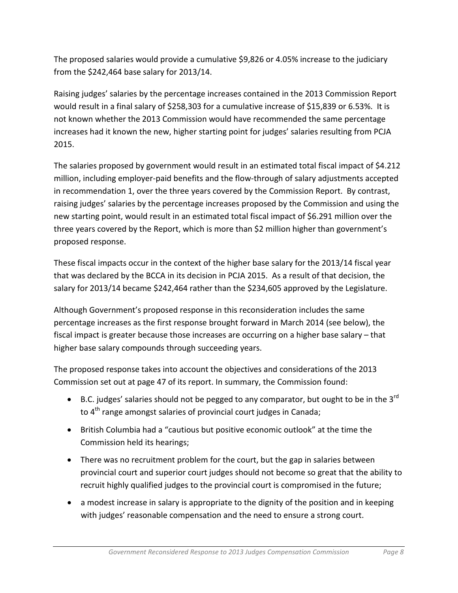The proposed salaries would provide a cumulative \$9,826 or 4.05% increase to the judiciary from the \$242,464 base salary for 2013/14.

Raising judges' salaries by the percentage increases contained in the 2013 Commission Report would result in a final salary of \$258,303 for a cumulative increase of \$15,839 or 6.53%. It is not known whether the 2013 Commission would have recommended the same percentage increases had it known the new, higher starting point for judges' salaries resulting from PCJA 2015.

The salaries proposed by government would result in an estimated total fiscal impact of \$4.212 million, including employer-paid benefits and the flow-through of salary adjustments accepted in recommendation 1, over the three years covered by the Commission Report. By contrast, raising judges' salaries by the percentage increases proposed by the Commission and using the new starting point, would result in an estimated total fiscal impact of \$6.291 million over the three years covered by the Report, which is more than \$2 million higher than government's proposed response.

These fiscal impacts occur in the context of the higher base salary for the 2013/14 fiscal year that was declared by the BCCA in its decision in PCJA 2015. As a result of that decision, the salary for 2013/14 became \$242,464 rather than the \$234,605 approved by the Legislature.

Although Government's proposed response in this reconsideration includes the same percentage increases as the first response brought forward in March 2014 (see below), the fiscal impact is greater because those increases are occurring on a higher base salary – that higher base salary compounds through succeeding years.

The proposed response takes into account the objectives and considerations of the 2013 Commission set out at page 47 of its report. In summary, the Commission found:

- B.C. judges' salaries should not be pegged to any comparator, but ought to be in the  $3^{rd}$ to 4<sup>th</sup> range amongst salaries of provincial court judges in Canada;
- British Columbia had a "cautious but positive economic outlook" at the time the Commission held its hearings;
- There was no recruitment problem for the court, but the gap in salaries between provincial court and superior court judges should not become so great that the ability to recruit highly qualified judges to the provincial court is compromised in the future;
- a modest increase in salary is appropriate to the dignity of the position and in keeping with judges' reasonable compensation and the need to ensure a strong court.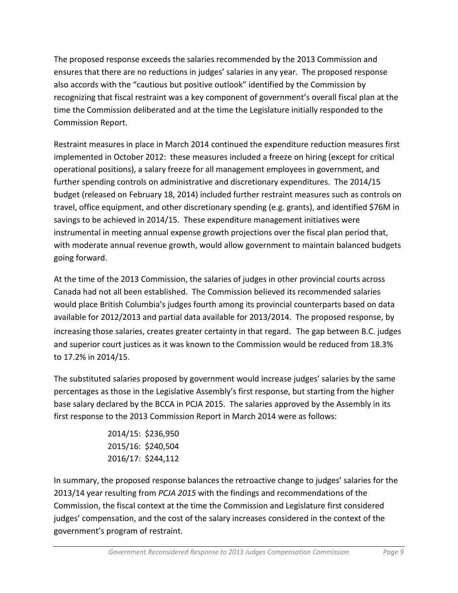The proposed response exceeds the salaries recommended by the 2013 Commission and ensures that there are no reductions in judges' salaries in any year. The proposed response also accords with the "cautious but positive outlook" identified by the Commission by recognizing that fiscal restraint was a key component of government's overall fiscal plan at the time the Commission deliberated and at the time the Legislature initially responded to the Commission Report.

Restraint measures in place in March 2014 continued the expenditure reduction measures first implemented in October 2012: these measures included a freeze on hiring (except for critical operational positions), a salary freeze for all management employees in government, and further spending controls on administrative and discretionary expenditures. The 2014/15 budget (released on February 18, 2014) included further restraint measures such as controls on travel, office equipment, and other discretionary spending (e.g. grants), and identified \$76M in savings to be achieved in 2014/15. These expenditure management initiatives were instrumental in meeting annual expense growth projections over the fiscal plan period that, with moderate annual revenue growth, would allow government to maintain balanced budgets going forward.

At the time of the 2013 Commission, the salaries of judges in other provincial courts across Canada had not all been established. The Commission believed its recommended salaries would place British Columbia's judges fourth among its provincial counterparts based on data available for 2012/2013 and partial data available for 2013/2014. The proposed response, by increasing those salaries, creates greater certainty in that regard. The gap between B.C. judges and superior court justices as it was known to the Commission would be reduced from 18.3% to 17.2% in 2014/15.

The substituted salaries proposed by government would increase judges' salaries by the same percentages as those in the Legislative Assembly's first response, but starting from the higher base salary declared by the BCCA in PCJA 2015. The salaries approved by the Assembly in its first response to the 2013 Commission Report in March 2014 were as follows:

> 2014/15: \$236,950 2015/16: \$240,504 2016/17: \$244,112

In summary, the proposed response balances the retroactive change to judges' salaries for the 2013/14 year resulting from *PCJA 2015* with the findings and recommendations of the Commission, the fiscal context at the time the Commission and Legislature first considered judges' compensation, and the cost of the salary increases considered in the context of the government's program of restraint.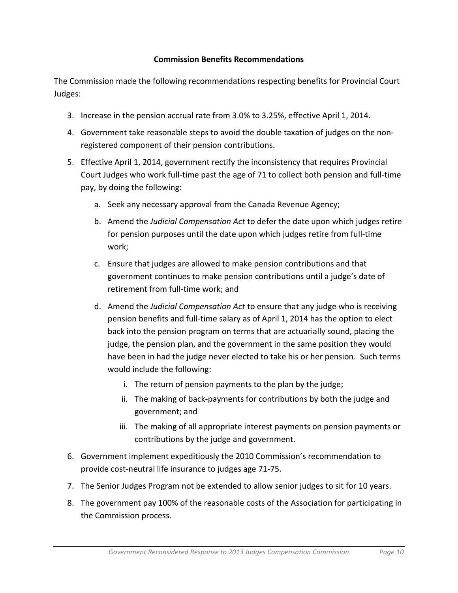### **Commission Benefits Recommendations**

The Commission made the following recommendations respecting benefits for Provincial Court Judges:

- 3. Increase in the pension accrual rate from 3.0% to 3.25%, effective April 1, 2014.
- 4. Government take reasonable steps to avoid the double taxation of judges on the nonregistered component of their pension contributions.
- 5. Effective April 1, 2014, government rectify the inconsistency that requires Provincial Court Judges who work full-time past the age of 71 to collect both pension and full-time pay, by doing the following:
	- a. Seek any necessary approval from the Canada Revenue Agency;
	- b. Amend the *Judicial Compensation Act* to defer the date upon which judges retire for pension purposes until the date upon which judges retire from full-time work;
	- c. Ensure that judges are allowed to make pension contributions and that government continues to make pension contributions until a judge's date of retirement from full-time work; and
	- d. Amend the *Judicial Compensation Act* to ensure that any judge who is receiving pension benefits and full-time salary as of April 1, 2014 has the option to elect back into the pension program on terms that are actuarially sound, placing the judge, the pension plan, and the government in the same position they would have been in had the judge never elected to take his or her pension. Such terms would include the following:
		- i. The return of pension payments to the plan by the judge;
		- ii. The making of back-payments for contributions by both the judge and government; and
		- iii. The making of all appropriate interest payments on pension payments or contributions by the judge and government.
- 6. Government implement expeditiously the 2010 Commission's recommendation to provide cost-neutral life insurance to judges age 71-75.
- 7. The Senior Judges Program not be extended to allow senior judges to sit for 10 years.
- 8. The government pay 100% of the reasonable costs of the Association for participating in the Commission process.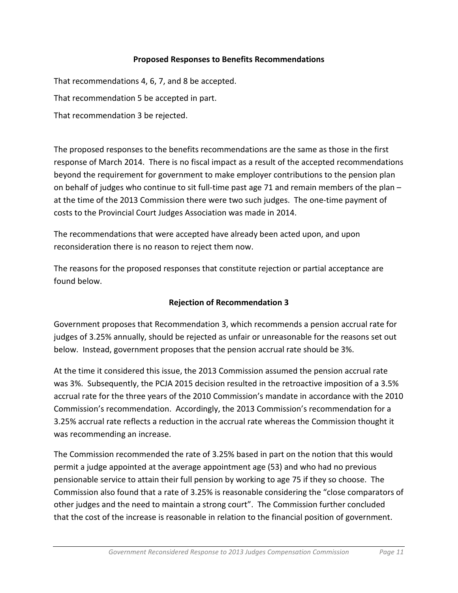### **Proposed Responses to Benefits Recommendations**

That recommendations 4, 6, 7, and 8 be accepted. That recommendation 5 be accepted in part. That recommendation 3 be rejected.

The proposed responses to the benefits recommendations are the same as those in the first response of March 2014. There is no fiscal impact as a result of the accepted recommendations beyond the requirement for government to make employer contributions to the pension plan on behalf of judges who continue to sit full-time past age 71 and remain members of the plan – at the time of the 2013 Commission there were two such judges. The one-time payment of costs to the Provincial Court Judges Association was made in 2014.

The recommendations that were accepted have already been acted upon, and upon reconsideration there is no reason to reject them now.

The reasons for the proposed responses that constitute rejection or partial acceptance are found below.

## **Rejection of Recommendation 3**

Government proposes that Recommendation 3, which recommends a pension accrual rate for judges of 3.25% annually, should be rejected as unfair or unreasonable for the reasons set out below. Instead, government proposes that the pension accrual rate should be 3%.

At the time it considered this issue, the 2013 Commission assumed the pension accrual rate was 3%. Subsequently, the PCJA 2015 decision resulted in the retroactive imposition of a 3.5% accrual rate for the three years of the 2010 Commission's mandate in accordance with the 2010 Commission's recommendation. Accordingly, the 2013 Commission's recommendation for a 3.25% accrual rate reflects a reduction in the accrual rate whereas the Commission thought it was recommending an increase.

The Commission recommended the rate of 3.25% based in part on the notion that this would permit a judge appointed at the average appointment age (53) and who had no previous pensionable service to attain their full pension by working to age 75 if they so choose. The Commission also found that a rate of 3.25% is reasonable considering the "close comparators of other judges and the need to maintain a strong court". The Commission further concluded that the cost of the increase is reasonable in relation to the financial position of government.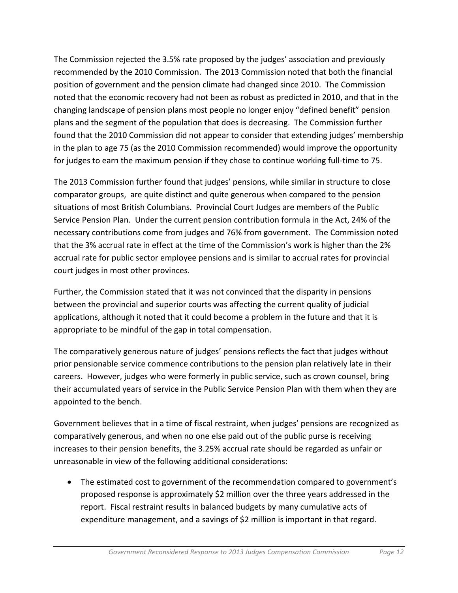The Commission rejected the 3.5% rate proposed by the judges' association and previously recommended by the 2010 Commission. The 2013 Commission noted that both the financial position of government and the pension climate had changed since 2010. The Commission noted that the economic recovery had not been as robust as predicted in 2010, and that in the changing landscape of pension plans most people no longer enjoy "defined benefit" pension plans and the segment of the population that does is decreasing. The Commission further found that the 2010 Commission did not appear to consider that extending judges' membership in the plan to age 75 (as the 2010 Commission recommended) would improve the opportunity for judges to earn the maximum pension if they chose to continue working full-time to 75.

The 2013 Commission further found that judges' pensions, while similar in structure to close comparator groups, are quite distinct and quite generous when compared to the pension situations of most British Columbians. Provincial Court Judges are members of the Public Service Pension Plan. Under the current pension contribution formula in the Act, 24% of the necessary contributions come from judges and 76% from government. The Commission noted that the 3% accrual rate in effect at the time of the Commission's work is higher than the 2% accrual rate for public sector employee pensions and is similar to accrual rates for provincial court judges in most other provinces.

Further, the Commission stated that it was not convinced that the disparity in pensions between the provincial and superior courts was affecting the current quality of judicial applications, although it noted that it could become a problem in the future and that it is appropriate to be mindful of the gap in total compensation.

The comparatively generous nature of judges' pensions reflects the fact that judges without prior pensionable service commence contributions to the pension plan relatively late in their careers. However, judges who were formerly in public service, such as crown counsel, bring their accumulated years of service in the Public Service Pension Plan with them when they are appointed to the bench.

Government believes that in a time of fiscal restraint, when judges' pensions are recognized as comparatively generous, and when no one else paid out of the public purse is receiving increases to their pension benefits, the 3.25% accrual rate should be regarded as unfair or unreasonable in view of the following additional considerations:

• The estimated cost to government of the recommendation compared to government's proposed response is approximately \$2 million over the three years addressed in the report. Fiscal restraint results in balanced budgets by many cumulative acts of expenditure management, and a savings of \$2 million is important in that regard.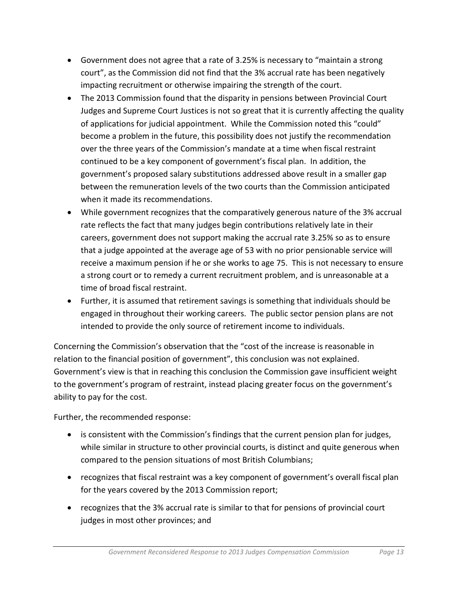- Government does not agree that a rate of 3.25% is necessary to "maintain a strong court", as the Commission did not find that the 3% accrual rate has been negatively impacting recruitment or otherwise impairing the strength of the court.
- The 2013 Commission found that the disparity in pensions between Provincial Court Judges and Supreme Court Justices is not so great that it is currently affecting the quality of applications for judicial appointment. While the Commission noted this "could" become a problem in the future, this possibility does not justify the recommendation over the three years of the Commission's mandate at a time when fiscal restraint continued to be a key component of government's fiscal plan. In addition, the government's proposed salary substitutions addressed above result in a smaller gap between the remuneration levels of the two courts than the Commission anticipated when it made its recommendations.
- While government recognizes that the comparatively generous nature of the 3% accrual rate reflects the fact that many judges begin contributions relatively late in their careers, government does not support making the accrual rate 3.25% so as to ensure that a judge appointed at the average age of 53 with no prior pensionable service will receive a maximum pension if he or she works to age 75. This is not necessary to ensure a strong court or to remedy a current recruitment problem, and is unreasonable at a time of broad fiscal restraint.
- Further, it is assumed that retirement savings is something that individuals should be engaged in throughout their working careers. The public sector pension plans are not intended to provide the only source of retirement income to individuals.

Concerning the Commission's observation that the "cost of the increase is reasonable in relation to the financial position of government", this conclusion was not explained. Government's view is that in reaching this conclusion the Commission gave insufficient weight to the government's program of restraint, instead placing greater focus on the government's ability to pay for the cost.

Further, the recommended response:

- is consistent with the Commission's findings that the current pension plan for judges, while similar in structure to other provincial courts, is distinct and quite generous when compared to the pension situations of most British Columbians;
- recognizes that fiscal restraint was a key component of government's overall fiscal plan for the years covered by the 2013 Commission report;
- recognizes that the 3% accrual rate is similar to that for pensions of provincial court judges in most other provinces; and